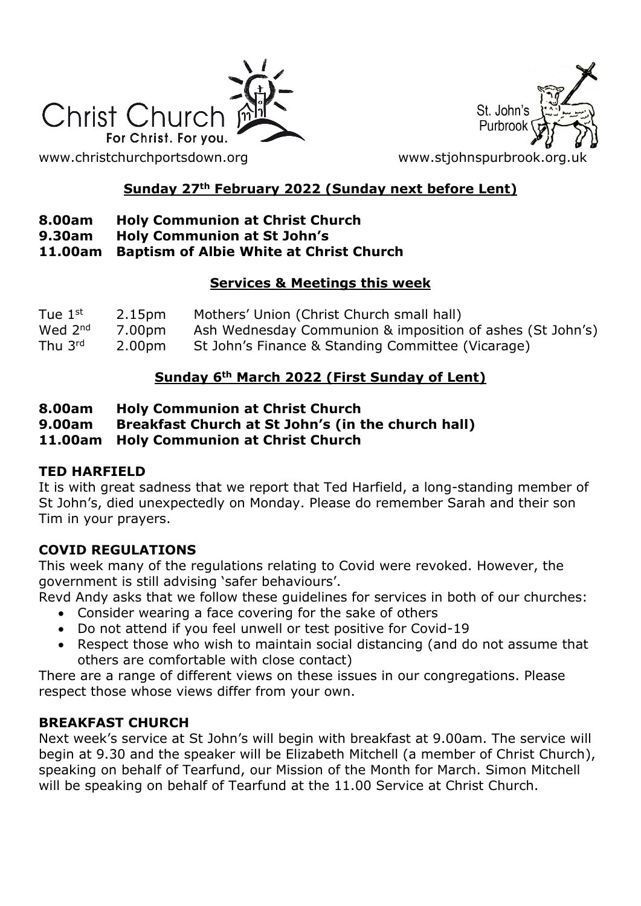

[www.christchurchportsdown.org](http://www.christchurchportsdown.org/) www.stjohnspurbrook.org

# St. John's Purbroo

# **Sunday 27th February 2022 (Sunday next before Lent)**

## **8.00am Holy Communion at Christ Church**

**9.30am Holy Communion at St John's**

#### **11.00am Baptism of Albie White at Christ Church**

#### **Services & Meetings this week**

| Tue $1st$ | 2.15pm | Mothers' Union (Christ Church small hall)                 |
|-----------|--------|-----------------------------------------------------------|
| Wed $2nd$ | 7.00pm | Ash Wednesday Communion & imposition of ashes (St John's) |
| Thu 3rd   | 2.00pm | St John's Finance & Standing Committee (Vicarage)         |

# **Sunday 6th March 2022 (First Sunday of Lent)**

#### **8.00am Holy Communion at Christ Church**

**9.00am Breakfast Church at St John's (in the church hall)**

**11.00am Holy Communion at Christ Church**

## **TED HARFIELD**

It is with great sadness that we report that Ted Harfield, a long-standing member of St John's, died unexpectedly on Monday. Please do remember Sarah and their son Tim in your prayers.

## **COVID REGULATIONS**

This week many of the regulations relating to Covid were revoked. However, the government is still advising 'safer behaviours'.

Revd Andy asks that we follow these guidelines for services in both of our churches:

- Consider wearing a face covering for the sake of others
- Do not attend if you feel unwell or test positive for Covid-19
- Respect those who wish to maintain social distancing (and do not assume that others are comfortable with close contact)

There are a range of different views on these issues in our congregations. Please respect those whose views differ from your own.

# **BREAKFAST CHURCH**

Next week's service at St John's will begin with breakfast at 9.00am. The service will begin at 9.30 and the speaker will be Elizabeth Mitchell (a member of Christ Church), speaking on behalf of Tearfund, our Mission of the Month for March. Simon Mitchell will be speaking on behalf of Tearfund at the 11.00 Service at Christ Church.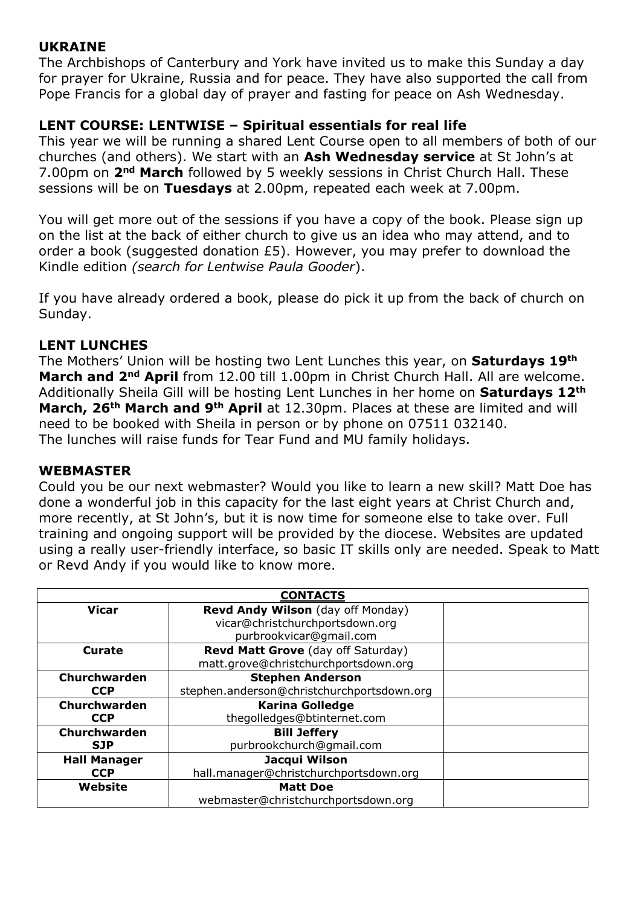## **UKRAINE**

The Archbishops of Canterbury and York have invited us to make this Sunday a day for prayer for Ukraine, Russia and for peace. They have also supported the call from Pope Francis for a global day of prayer and fasting for peace on Ash Wednesday.

## **LENT COURSE: LENTWISE – Spiritual essentials for real life**

This year we will be running a shared Lent Course open to all members of both of our churches (and others). We start with an **Ash Wednesday service** at St John's at 7.00pm on **2nd March** followed by 5 weekly sessions in Christ Church Hall. These sessions will be on **Tuesdays** at 2.00pm, repeated each week at 7.00pm.

You will get more out of the sessions if you have a copy of the book. Please sign up on the list at the back of either church to give us an idea who may attend, and to order a book (suggested donation £5). However, you may prefer to download the Kindle edition *(search for Lentwise Paula Gooder*).

If you have already ordered a book, please do pick it up from the back of church on Sunday.

## **LENT LUNCHES**

The Mothers' Union will be hosting two Lent Lunches this year, on **Saturdays 19th March and 2nd April** from 12.00 till 1.00pm in Christ Church Hall. All are welcome. Additionally Sheila Gill will be hosting Lent Lunches in her home on **Saturdays 12th March, 26th March and 9th April** at 12.30pm. Places at these are limited and will need to be booked with Sheila in person or by phone on 07511 032140. The lunches will raise funds for Tear Fund and MU family holidays.

## **WEBMASTER**

Could you be our next webmaster? Would you like to learn a new skill? Matt Doe has done a wonderful job in this capacity for the last eight years at Christ Church and, more recently, at St John's, but it is now time for someone else to take over. Full training and ongoing support will be provided by the diocese. Websites are updated using a really user-friendly interface, so basic IT skills only are needed. Speak to Matt or Revd Andy if you would like to know more.

| <b>CONTACTS</b>     |                                            |  |  |
|---------------------|--------------------------------------------|--|--|
| <b>Vicar</b>        | Revd Andy Wilson (day off Monday)          |  |  |
|                     | vicar@christchurchportsdown.org            |  |  |
|                     | purbrookvicar@gmail.com                    |  |  |
| <b>Curate</b>       | Revd Matt Grove (day off Saturday)         |  |  |
|                     | matt.grove@christchurchportsdown.org       |  |  |
| Churchwarden        | <b>Stephen Anderson</b>                    |  |  |
| <b>CCP</b>          | stephen.anderson@christchurchportsdown.org |  |  |
| Churchwarden        | <b>Karina Golledge</b>                     |  |  |
| <b>CCP</b>          | thegolledges@btinternet.com                |  |  |
| Churchwarden        | <b>Bill Jeffery</b>                        |  |  |
| <b>SJP</b>          | purbrookchurch@qmail.com                   |  |  |
| <b>Hall Manager</b> | Jacqui Wilson                              |  |  |
| <b>CCP</b>          | hall.manager@christchurchportsdown.org     |  |  |
| Website             | <b>Matt Doe</b>                            |  |  |
|                     | webmaster@christchurchportsdown.org        |  |  |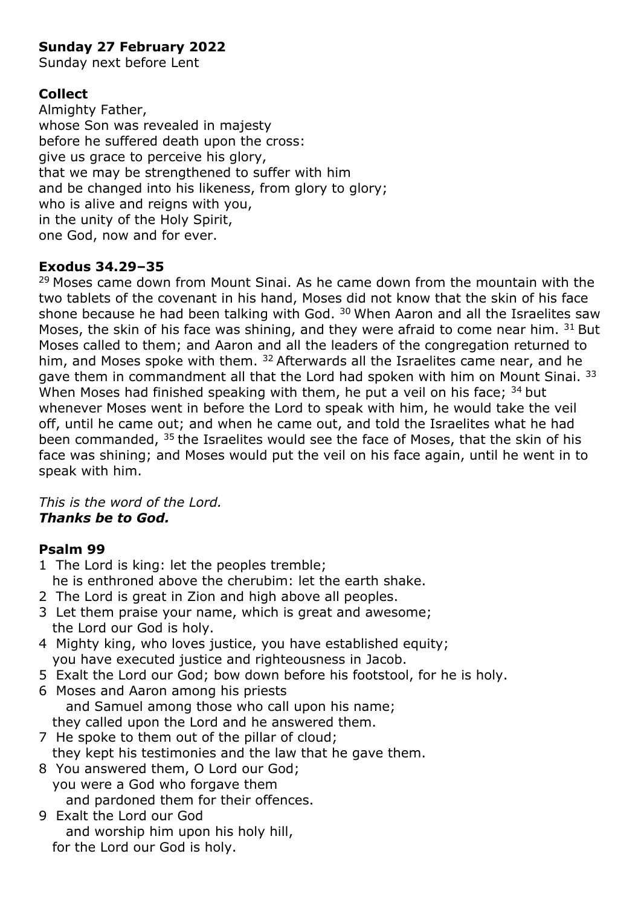## **Sunday 27 February 2022**

Sunday next before Lent

## **Collect**

Almighty Father, whose Son was revealed in majesty before he suffered death upon the cross: give us grace to perceive his glory, that we may be strengthened to suffer with him and be changed into his likeness, from glory to glory; who is alive and reigns with you, in the unity of the Holy Spirit, one God, now and for ever.

## **Exodus 34.29–35**

 $29$  Moses came down from Mount Sinai. As he came down from the mountain with the two tablets of the covenant in his hand, Moses did not know that the skin of his face shone because he had been talking with God.  $30$  When Aaron and all the Israelites saw Moses, the skin of his face was shining, and they were afraid to come near him.  $31$  But Moses called to them; and Aaron and all the leaders of the congregation returned to him, and Moses spoke with them. <sup>32</sup> Afterwards all the Israelites came near, and he gave them in commandment all that the Lord had spoken with him on Mount Sinai. 33 When Moses had finished speaking with them, he put a veil on his face;  $34$  but whenever Moses went in before the Lord to speak with him, he would take the veil off, until he came out; and when he came out, and told the Israelites what he had been commanded,  $35$  the Israelites would see the face of Moses, that the skin of his face was shining; and Moses would put the veil on his face again, until he went in to speak with him.

*This is the word of the Lord. Thanks be to God.*

## **Psalm 99**

- 1 The Lord is king: let the peoples tremble; he is enthroned above the cherubim: let the earth shake.
- 2 The Lord is great in Zion and high above all peoples.
- 3 Let them praise your name, which is great and awesome; the Lord our God is holy.
- 4 Mighty king, who loves justice, you have established equity; you have executed justice and righteousness in Jacob.
- 5 Exalt the Lord our God; bow down before his footstool, for he is holy. 6 Moses and Aaron among his priests
- and Samuel among those who call upon his name; they called upon the Lord and he answered them.
- 7 He spoke to them out of the pillar of cloud; they kept his testimonies and the law that he gave them.
- 8 You answered them, O Lord our God; you were a God who forgave them and pardoned them for their offences.
- 9 Exalt the Lord our God and worship him upon his holy hill, for the Lord our God is holy.